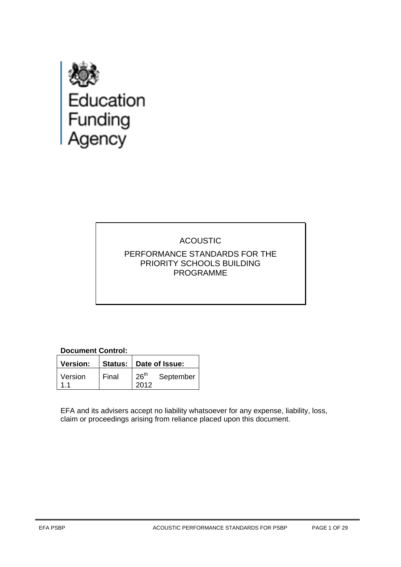

# ACOUSTIC PERFORMANCE STANDARDS FOR THE PRIORITY SCHOOLS BUILDING PROGRAMME

# **Document Control:**

| <b>Version:</b> |       | Status: Date of Issue:   |           |
|-----------------|-------|--------------------------|-----------|
| Version         | Final | 26 <sup>th</sup><br>2012 | September |

EFA and its advisers accept no liability whatsoever for any expense, liability, loss, claim or proceedings arising from reliance placed upon this document.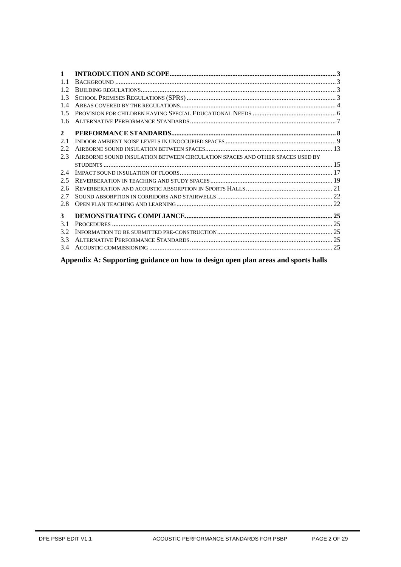| $\mathbf{1}$ |                                                                               |  |
|--------------|-------------------------------------------------------------------------------|--|
| 11           |                                                                               |  |
| 1.2          |                                                                               |  |
| 1.3          |                                                                               |  |
| 1.4          |                                                                               |  |
| 15           |                                                                               |  |
| 1.6          |                                                                               |  |
| $\mathbf{2}$ |                                                                               |  |
| 2.1          |                                                                               |  |
| 2.2          |                                                                               |  |
| 2.3          | AIRBORNE SOUND INSULATION BETWEEN CIRCULATION SPACES AND OTHER SPACES USED BY |  |
|              |                                                                               |  |
| 2.4          |                                                                               |  |
| 2.5          |                                                                               |  |
| 2.6          |                                                                               |  |
| 2.7          |                                                                               |  |
| 2.8          |                                                                               |  |
| 3            |                                                                               |  |
| 3.1          |                                                                               |  |
| 3.2          |                                                                               |  |
| 3.3          |                                                                               |  |
| 3.4          |                                                                               |  |
|              |                                                                               |  |

**Appendix A: Supporting guidance on how to design open plan areas and sports halls**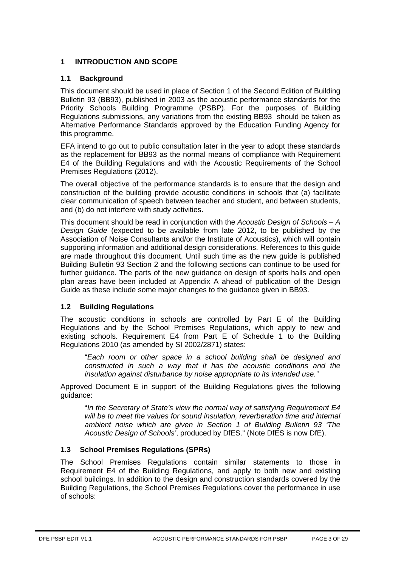# <span id="page-2-1"></span><span id="page-2-0"></span>**1 INTRODUCTION AND SCOPE**

# **1.1 Background**

This document should be used in place of Section 1 of the Second Edition of Building Bulletin 93 (BB93), published in 2003 as the acoustic performance standards for the Priority Schools Building Programme (PSBP). For the purposes of Building Regulations submissions, any variations from the existing BB93 should be taken as Alternative Performance Standards approved by the Education Funding Agency for this programme.

EFA intend to go out to public consultation later in the year to adopt these standards as the replacement for BB93 as the normal means of compliance with Requirement E4 of the Building Regulations and with the Acoustic Requirements of the School Premises Regulations (2012).

The overall objective of the performance standards is to ensure that the design and construction of the building provide acoustic conditions in schools that (a) facilitate clear communication of speech between teacher and student, and between students, and (b) do not interfere with study activities.

This document should be read in conjunction with the *Acoustic Design of Schools – A Design Guide* (expected to be available from late 2012, to be published by the Association of Noise Consultants and/or the Institute of Acoustics), which will contain supporting information and additional design considerations. References to this guide are made throughout this document. Until such time as the new guide is published Building Bulletin 93 Section 2 and the following sections can continue to be used for further guidance. The parts of the new guidance on design of sports halls and open plan areas have been included at Appendix A ahead of publication of the Design Guide as these include some major changes to the guidance given in BB93.

# <span id="page-2-2"></span>**1.2 Building Regulations**

The acoustic conditions in schools are controlled by Part E of the Building Regulations and by the School Premises Regulations, which apply to new and existing schools. Requirement E4 from Part E of Schedule 1 to the Building Regulations 2010 (as amended by SI 2002/2871) states:

"*Each room or other space in a school building shall be designed and constructed in such a way that it has the acoustic conditions and the insulation against disturbance by noise appropriate to its intended use."* 

Approved Document E in support of the Building Regulations gives the following guidance:

"*In the Secretary of State's view the normal way of satisfying Requirement E4*  will be to meet the values for sound insulation, reverberation time and internal *ambient noise which are given in Section 1 of Building Bulletin 93 'The Acoustic Design of Schools'*, produced by DfES." (Note DfES is now DfE).

# <span id="page-2-3"></span>**1.3 School Premises Regulations (SPRs)**

The School Premises Regulations contain similar statements to those in Requirement E4 of the Building Regulations, and apply to both new and existing school buildings. In addition to the design and construction standards covered by the Building Regulations, the School Premises Regulations cover the performance in use of schools: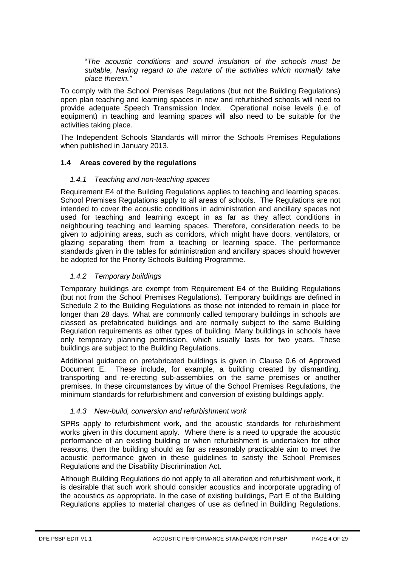"*The acoustic conditions and sound insulation of the schools must be suitable, having regard to the nature of the activities which normally take place therein."*

To comply with the School Premises Regulations (but not the Building Regulations) open plan teaching and learning spaces in new and refurbished schools will need to provide adequate Speech Transmission Index. Operational noise levels (i.e. of equipment) in teaching and learning spaces will also need to be suitable for the activities taking place.

The Independent Schools Standards will mirror the Schools Premises Regulations when published in January 2013.

# <span id="page-3-0"></span>**1.4 Areas covered by the regulations**

#### *1.4.1 Teaching and non-teaching spaces*

Requirement E4 of the Building Regulations applies to teaching and learning spaces. School Premises Regulations apply to all areas of schools. The Regulations are not intended to cover the acoustic conditions in administration and ancillary spaces not used for teaching and learning except in as far as they affect conditions in neighbouring teaching and learning spaces. Therefore, consideration needs to be given to adjoining areas, such as corridors, which might have doors, ventilators, or glazing separating them from a teaching or learning space. The performance standards given in the tables for administration and ancillary spaces should however be adopted for the Priority Schools Building Programme.

# *1.4.2 Temporary buildings*

Temporary buildings are exempt from Requirement E4 of the Building Regulations (but not from the School Premises Regulations). Temporary buildings are defined in Schedule 2 to the Building Regulations as those not intended to remain in place for longer than 28 days. What are commonly called temporary buildings in schools are classed as prefabricated buildings and are normally subject to the same Building Regulation requirements as other types of building. Many buildings in schools have only temporary planning permission, which usually lasts for two years. These buildings are subject to the Building Regulations.

Additional guidance on prefabricated buildings is given in Clause 0.6 of Approved Document E. These include, for example, a building created by dismantling, transporting and re-erecting sub-assemblies on the same premises or another premises. In these circumstances by virtue of the School Premises Regulations, the minimum standards for refurbishment and conversion of existing buildings apply.

# *1.4.3 New-build, conversion and refurbishment work*

SPRs apply to refurbishment work, and the acoustic standards for refurbishment works given in this document apply. Where there is a need to upgrade the acoustic performance of an existing building or when refurbishment is undertaken for other reasons, then the building should as far as reasonably practicable aim to meet the acoustic performance given in these guidelines to satisfy the School Premises Regulations and the Disability Discrimination Act.

Although Building Regulations do not apply to all alteration and refurbishment work, it is desirable that such work should consider acoustics and incorporate upgrading of the acoustics as appropriate. In the case of existing buildings, Part E of the Building Regulations applies to material changes of use as defined in Building Regulations.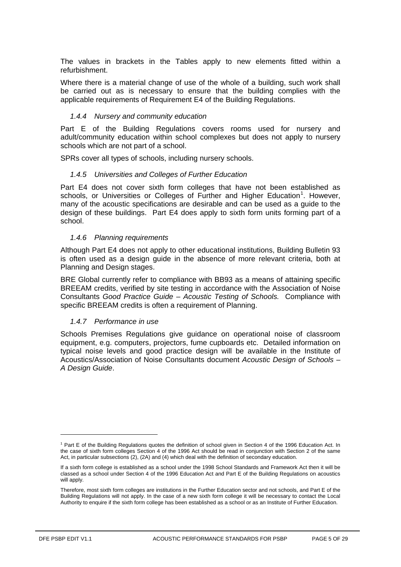The values in brackets in the Tables apply to new elements fitted within a refurbishment.

Where there is a material change of use of the whole of a building, such work shall be carried out as is necessary to ensure that the building complies with the applicable requirements of Requirement E4 of the Building Regulations.

#### *1.4.4 Nursery and community education*

Part E of the Building Regulations covers rooms used for nursery and adult/community education within school complexes but does not apply to nursery schools which are not part of a school.

SPRs cover all types of schools, including nursery schools.

#### *1.4.5 Universities and Colleges of Further Education*

Part E4 does not cover sixth form colleges that have not been established as schools, or Universities or Colleges of Further and Higher Education<sup>[1](#page-4-0)</sup>. However, many of the acoustic specifications are desirable and can be used as a quide to the design of these buildings. Part E4 does apply to sixth form units forming part of a school.

#### *1.4.6 Planning requirements*

Although Part E4 does not apply to other educational institutions, Building Bulletin 93 is often used as a design guide in the absence of more relevant criteria, both at Planning and Design stages.

BRE Global currently refer to compliance with BB93 as a means of attaining specific BREEAM credits, verified by site testing in accordance with the Association of Noise Consultants *Good Practice Guide – Acoustic Testing of Schools.* Compliance with specific BREEAM credits is often a requirement of Planning.

# <span id="page-4-1"></span>*1.4.7 Performance in use*

Schools Premises Regulations give guidance on operational noise of classroom equipment, e.g. computers, projectors, fume cupboards etc. Detailed information on typical noise levels and good practice design will be available in the Institute of Acoustics/Association of Noise Consultants document *Acoustic Design of Schools – A Design Guide*.

-

<span id="page-4-0"></span><sup>1</sup> Part E of the Building Regulations quotes the definition of school given in Section 4 of the 1996 Education Act. In the case of sixth form colleges Section 4 of the 1996 Act should be read in conjunction with Section 2 of the same Act, in particular subsections (2), (2A) and (4) which deal with the definition of secondary education.

If a sixth form college is established as a school under the 1998 School Standards and Framework Act then it will be classed as a school under Section 4 of the 1996 Education Act and Part E of the Building Regulations on acoustics will apply.

Therefore, most sixth form colleges are institutions in the Further Education sector and not schools, and Part E of the Building Regulations will not apply. In the case of a new sixth form college it will be necessary to contact the Local Authority to enquire if the sixth form college has been established as a school or as an Institute of Further Education.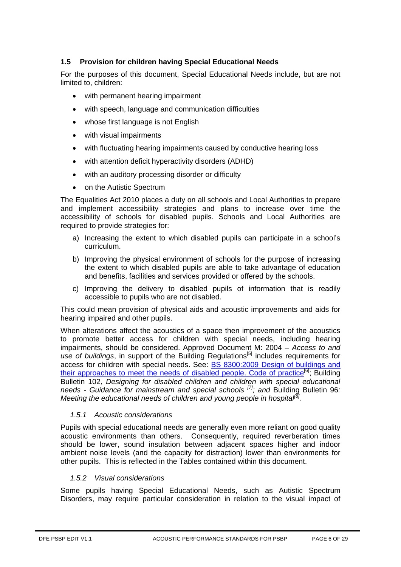# <span id="page-5-0"></span>**1.5 Provision for children having Special Educational Needs**

For the purposes of this document, Special Educational Needs include, but are not limited to, children:

- with permanent hearing impairment
- with speech, language and communication difficulties
- whose first language is not English
- with visual impairments
- with fluctuating hearing impairments caused by conductive hearing loss
- with attention deficit hyperactivity disorders (ADHD)
- with an auditory processing disorder or difficulty
- on the Autistic Spectrum

The Equalities Act 2010 places a duty on all schools and Local Authorities to prepare and implement accessibility strategies and plans to increase over time the accessibility of schools for disabled pupils. Schools and Local Authorities are required to provide strategies for:

- a) Increasing the extent to which disabled pupils can participate in a school's curriculum.
- b) Improving the physical environment of schools for the purpose of increasing the extent to which disabled pupils are able to take advantage of education and benefits, facilities and services provided or offered by the schools.
- c) Improving the delivery to disabled pupils of information that is readily accessible to pupils who are not disabled.

This could mean provision of physical aids and acoustic improvements and aids for hearing impaired and other pupils.

When alterations affect the acoustics of a space then improvement of the acoustics to promote better access for children with special needs, including hearing impairments, should be considered. Approved Document M: 2004 – *Access to and*  use of buildings, in support of the Building Regulations<sup>[5]</sup> includes requirements for access for children with special needs. See: [BS 8300:2009 Design of buildings and](http://shop.bsigroup.com/en/ProductDetail/?pid=000000000030217421)  [their approaches to meet the needs of disabled people. Code of practice](http://shop.bsigroup.com/en/ProductDetail/?pid=000000000030217421)<sup>[6]</sup>; Building Bulletin 102*, Designing for disabled children and children with special educational needs - Guidance for mainstream and special schools [7]; and* Building Bulletin 96*: Meeting the educational needs of children and young people in hospital[8] .*

# *1.5.1 Acoustic considerations*

Pupils with special educational needs are generally even more reliant on good quality acoustic environments than others. Consequently, required reverberation times should be lower, sound insulation between adjacent spaces higher and indoor ambient noise levels (and the capacity for distraction) lower than environments for other pupils. This is reflected in the Tables contained within this document.

# *1.5.2 Visual considerations*

Some pupils having Special Educational Needs, such as Autistic Spectrum Disorders, may require particular consideration in relation to the visual impact of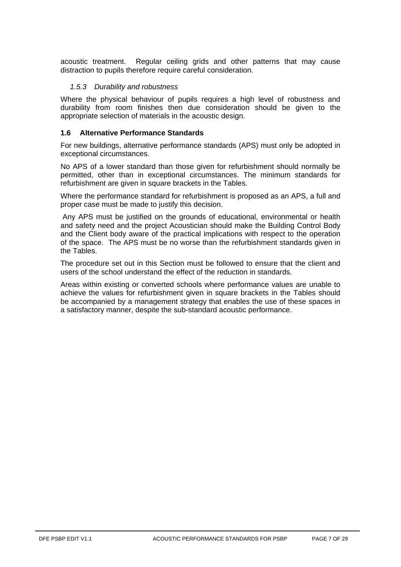acoustic treatment. Regular ceiling grids and other patterns that may cause distraction to pupils therefore require careful consideration.

# *1.5.3 Durability and robustness*

Where the physical behaviour of pupils requires a high level of robustness and durability from room finishes then due consideration should be given to the appropriate selection of materials in the acoustic design.

# <span id="page-6-0"></span>**1.6 Alternative Performance Standards**

For new buildings, alternative performance standards (APS) must only be adopted in exceptional circumstances.

No APS of a lower standard than those given for refurbishment should normally be permitted, other than in exceptional circumstances. The minimum standards for refurbishment are given in square brackets in the Tables.

Where the performance standard for refurbishment is proposed as an APS, a full and proper case must be made to justify this decision.

Any APS must be justified on the grounds of educational, environmental or health and safety need and the project Acoustician should make the Building Control Body and the Client body aware of the practical implications with respect to the operation of the space. The APS must be no worse than the refurbishment standards given in the Tables.

The procedure set out in this Section must be followed to ensure that the client and users of the school understand the effect of the reduction in standards.

Areas within existing or converted schools where performance values are unable to achieve the values for refurbishment given in square brackets in the Tables should be accompanied by a management strategy that enables the use of these spaces in a satisfactory manner, despite the sub-standard acoustic performance.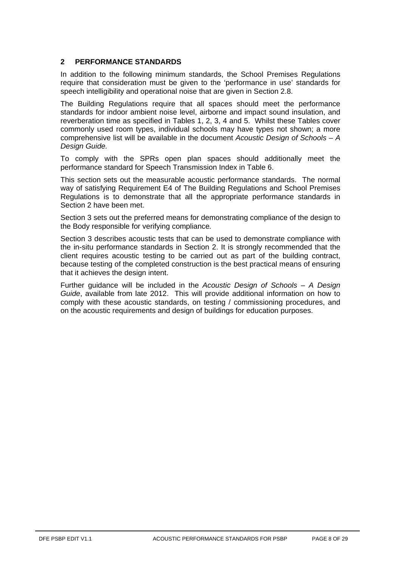# <span id="page-7-0"></span>**2 PERFORMANCE STANDARDS**

In addition to the following minimum standards, the School Premises Regulations require that consideration must be given to the 'performance in use' standards for speech intelligibility and operational noise that are given in Section [2.8.](#page-21-1)

The Building Regulations require that all spaces should meet the performance standards for indoor ambient noise level, airborne and impact sound insulation, and reverberation time as specified in Tables 1, 2, 3, 4 and 5. Whilst these Tables cover commonly used room types, individual schools may have types not shown; a more comprehensive list will be available in the document *Acoustic Design of Schools – A Design Guide.*

To comply with the SPRs open plan spaces should additionally meet the performance standard for Speech Transmission Index in Table 6.

This section sets out the measurable acoustic performance standards. The normal way of satisfying Requirement E4 of The Building Regulations and School Premises Regulations is to demonstrate that all the appropriate performance standards in Section [2](#page-7-0) have been met.

Section [3](#page-24-0) sets out the preferred means for demonstrating compliance of the design to the Body responsible for verifying compliance*.* 

Section [3](#page-24-0) describes acoustic tests that can be used to demonstrate compliance with the in-situ performance standards in Section [2.](#page-7-0) It is strongly recommended that the client requires acoustic testing to be carried out as part of the building contract, because testing of the completed construction is the best practical means of ensuring that it achieves the design intent.

Further guidance will be included in the *Acoustic Design of Schools – A Design Guide*, available from late 2012. This will provide additional information on how to comply with these acoustic standards, on testing / commissioning procedures, and on the acoustic requirements and design of buildings for education purposes.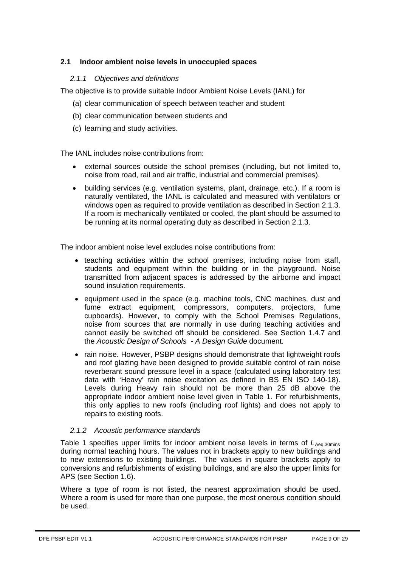# <span id="page-8-0"></span>**2.1 Indoor ambient noise levels in unoccupied spaces**

# *2.1.1 Objectives and definitions*

The objective is to provide suitable Indoor Ambient Noise Levels (IANL) for

- (a) clear communication of speech between teacher and student
- (b) clear communication between students and
- (c) learning and study activities.

The IANL includes noise contributions from:

- external sources outside the school premises (including, but not limited to, noise from road, rail and air traffic, industrial and commercial premises).
- building services (e.g. ventilation systems, plant, drainage, etc.). If a room is naturally ventilated, the IANL is calculated and measured with ventilators or windows open as required to provide ventilation as described in Section [2.1.3.](#page-11-0) If a room is mechanically ventilated or cooled, the plant should be assumed to be running at its normal operating duty as described in Section [2.1.3.](#page-11-0)

The indoor ambient noise level excludes noise contributions from:

- teaching activities within the school premises, including noise from staff, students and equipment within the building or in the playground. Noise transmitted from adjacent spaces is addressed by the airborne and impact sound insulation requirements.
- equipment used in the space (e.g. machine tools, CNC machines, dust and fume extract equipment, compressors, computers, projectors, fume cupboards). However, to comply with the School Premises Regulations, noise from sources that are normally in use during teaching activities and cannot easily be switched off should be considered. See Section [1.4.7](#page-4-1) and the *Acoustic Design of Schools - A Design Guide* document.
- rain noise. However, PSBP designs should demonstrate that lightweight roofs and roof glazing have been designed to provide suitable control of rain noise reverberant sound pressure level in a space (calculated using laboratory test data with 'Heavy' rain noise excitation as defined in BS EN ISO 140-18). Levels during Heavy rain should not be more than 25 dB above the appropriate indoor ambient noise level given in Table 1. For refurbishments, this only applies to new roofs (including roof lights) and does not apply to repairs to existing roofs.

# *2.1.2 Acoustic performance standards*

Table 1 specifies upper limits for indoor ambient noise levels in terms of *L*Aeq,30mins APS (see Section 1.6). during normal teaching hours. The values not in brackets apply to new buildings and to new extensions to existing buildings. The values in square brackets apply to conversions and refurbishments of existing buildings, and are also the upper limits for

Where a type of room is not listed, the nearest approximation should be used. Where a room is used for more than one purpose, the most onerous condition should be used.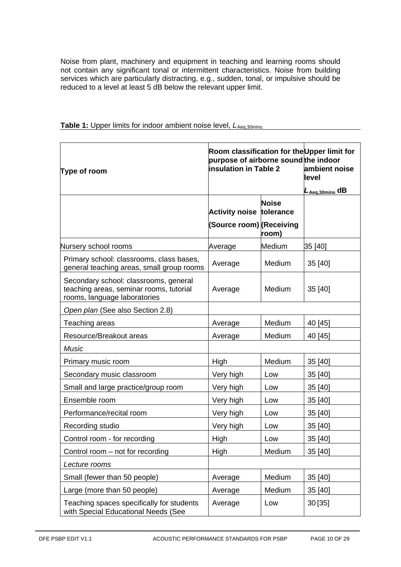Noise from plant, machinery and equipment in teaching and learning rooms should not contain any significant tonal or intermittent characteristics. Noise from building services which are particularly distracting, e.g., sudden, tonal, or impulsive should be reduced to a level at least 5 dB below the relevant upper limit.

| Type of room                                                                                                     | Room classification for the Upper limit for<br>purpose of airborne sound the indoor<br><b>insulation in Table 2</b> | ambient noise<br>level<br>$L_{Aeq,30min}$ dB |         |
|------------------------------------------------------------------------------------------------------------------|---------------------------------------------------------------------------------------------------------------------|----------------------------------------------|---------|
|                                                                                                                  | Activity noise tolerance                                                                                            | <b>Noise</b>                                 |         |
|                                                                                                                  | (Source room) (Receiving                                                                                            | room)                                        |         |
| Nursery school rooms                                                                                             | Average                                                                                                             | Medium                                       | 35 [40] |
| Primary school: classrooms, class bases,<br>general teaching areas, small group rooms                            | Average                                                                                                             | Medium                                       | 35 [40] |
| Secondary school: classrooms, general<br>teaching areas, seminar rooms, tutorial<br>rooms, language laboratories | Average                                                                                                             | Medium                                       | 35 [40] |
| Open plan (See also Section 2.8)                                                                                 |                                                                                                                     |                                              |         |
| Teaching areas                                                                                                   | Average                                                                                                             | Medium                                       | 40 [45] |
| Resource/Breakout areas                                                                                          | Average                                                                                                             | Medium                                       | 40 [45] |
| <b>Music</b>                                                                                                     |                                                                                                                     |                                              |         |
| Primary music room                                                                                               | High                                                                                                                | Medium                                       | 35 [40] |
| Secondary music classroom                                                                                        | Very high                                                                                                           | Low                                          | 35 [40] |
| Small and large practice/group room                                                                              | Very high                                                                                                           | Low                                          | 35 [40] |
| Ensemble room                                                                                                    | Very high                                                                                                           | Low                                          | 35 [40] |
| Performance/recital room                                                                                         | Very high                                                                                                           | Low                                          | 35 [40] |
| Recording studio                                                                                                 | Very high                                                                                                           | Low                                          | 35 [40] |
| Control room - for recording                                                                                     | High                                                                                                                | Low                                          | 35 [40] |
| Control room – not for recording                                                                                 | High                                                                                                                | Medium                                       | 35 [40] |
| Lecture rooms                                                                                                    |                                                                                                                     |                                              |         |
| Small (fewer than 50 people)                                                                                     | Average                                                                                                             | Medium                                       | 35 [40] |
| Large (more than 50 people)                                                                                      | Average                                                                                                             | Medium                                       | 35 [40] |
| Teaching spaces specifically for students<br>with Special Educational Needs (See                                 | Average                                                                                                             | Low                                          | 30[35]  |

#### **Table 1:** Upper limits for indoor ambient noise level,  $L_{Aeq,30mins}$ .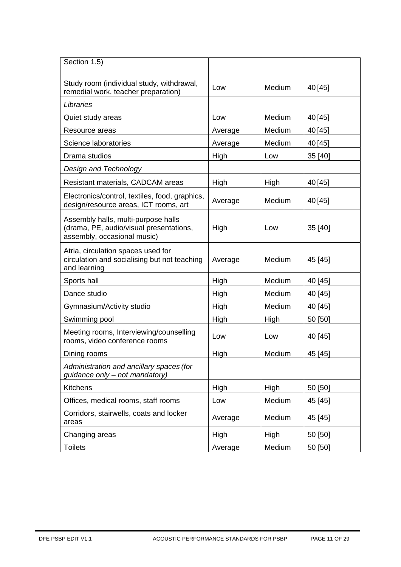| Section 1.5)                                                                                                  |         |        |         |
|---------------------------------------------------------------------------------------------------------------|---------|--------|---------|
| Study room (individual study, withdrawal,<br>remedial work, teacher preparation)                              | Low     | Medium | 40 [45] |
| Libraries                                                                                                     |         |        |         |
| Quiet study areas                                                                                             | Low     | Medium | 40 [45] |
| Resource areas                                                                                                | Average | Medium | 40 [45] |
| Science laboratories                                                                                          | Average | Medium | 40 [45] |
| Drama studios                                                                                                 | High    | Low    | 35 [40] |
| Design and Technology                                                                                         |         |        |         |
| Resistant materials, CADCAM areas                                                                             | High    | High   | 40 [45] |
| Electronics/control, textiles, food, graphics,<br>design/resource areas, ICT rooms, art                       | Average | Medium | 40 [45] |
| Assembly halls, multi-purpose halls<br>(drama, PE, audio/visual presentations,<br>assembly, occasional music) | High    | Low    | 35 [40] |
| Atria, circulation spaces used for<br>circulation and socialising but not teaching<br>and learning            | Average | Medium | 45 [45] |
| Sports hall                                                                                                   | High    | Medium | 40 [45] |
| Dance studio                                                                                                  | High    | Medium | 40 [45] |
| Gymnasium/Activity studio                                                                                     | High    | Medium | 40 [45] |
| Swimming pool                                                                                                 | High    | High   | 50 [50] |
| Meeting rooms, Interviewing/counselling<br>rooms, video conference rooms                                      | Low     | Low    | 40 [45] |
| Dining rooms                                                                                                  | High    | Medium | 45 [45] |
| Administration and ancillary spaces (for<br>guidance only - not mandatory)                                    |         |        |         |
| Kitchens                                                                                                      | High    | High   | 50 [50] |
| Offices, medical rooms, staff rooms                                                                           | Low     | Medium | 45 [45] |
| Corridors, stairwells, coats and locker<br>areas                                                              | Average | Medium | 45 [45] |
| Changing areas                                                                                                | High    | High   | 50 [50] |
| <b>Toilets</b>                                                                                                | Average | Medium | 50 [50] |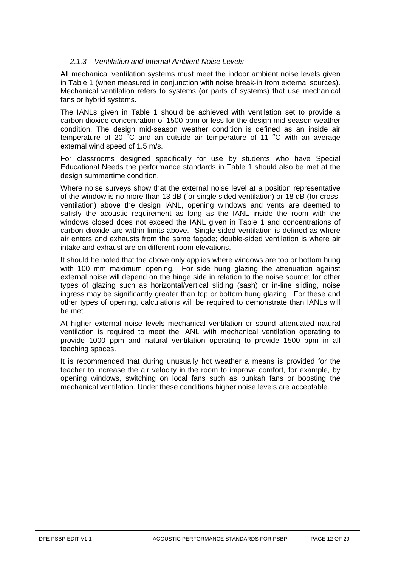# <span id="page-11-0"></span>*2.1.3 Ventilation and Internal Ambient Noise Levels*

All mechanical ventilation systems must meet the indoor ambient noise levels given in Table 1 (when measured in conjunction with noise break-in from external sources). Mechanical ventilation refers to systems (or parts of systems) that use mechanical fans or hybrid systems.

The IANLs given in Table 1 should be achieved with ventilation set to provide a carbon dioxide concentration of 1500 ppm or less for the design mid-season weather condition. The design mid-season weather condition is defined as an inside air temperature of 20  $\mathrm{^{\circ}C}$  and an outside air temperature of 11  $\mathrm{^{\circ}C}$  with an average external wind speed of 1.5 m/s.

For classrooms designed specifically for use by students who have Special Educational Needs the performance standards in Table 1 should also be met at the design summertime condition.

Where noise surveys show that the external noise level at a position representative of the window is no more than 13 dB (for single sided ventilation) or 18 dB (for crossventilation) above the design IANL, opening windows and vents are deemed to satisfy the acoustic requirement as long as the IANL inside the room with the windows closed does not exceed the IANL given in Table 1 and concentrations of carbon dioxide are within limits above. Single sided ventilation is defined as where air enters and exhausts from the same façade; double-sided ventilation is where air intake and exhaust are on different room elevations.

It should be noted that the above only applies where windows are top or bottom hung with 100 mm maximum opening. For side hung glazing the attenuation against external noise will depend on the hinge side in relation to the noise source; for other types of glazing such as horizontal/vertical sliding (sash) or in-line sliding, noise ingress may be significantly greater than top or bottom hung glazing. For these and other types of opening, calculations will be required to demonstrate than IANLs will be met.

At higher external noise levels mechanical ventilation or sound attenuated natural ventilation is required to meet the IANL with mechanical ventilation operating to provide 1000 ppm and natural ventilation operating to provide 1500 ppm in all teaching spaces.

It is recommended that during unusually hot weather a means is provided for the teacher to increase the air velocity in the room to improve comfort, for example, by opening windows, switching on local fans such as punkah fans or boosting the mechanical ventilation. Under these conditions higher noise levels are acceptable.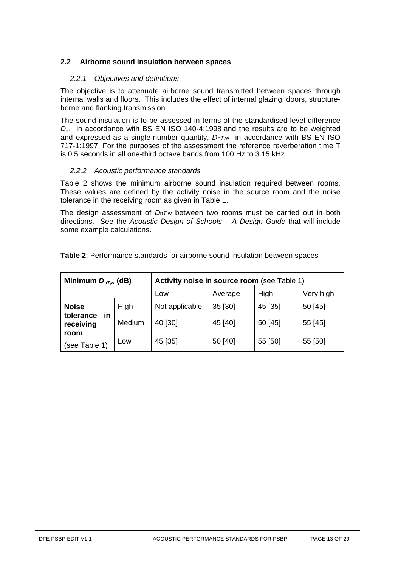# <span id="page-12-0"></span>**2.2 Airborne sound insulation between spaces**

# *2.2.1 Objectives and definitions*

The objective is to attenuate airborne sound transmitted between spaces through internal walls and floors. This includes the effect of internal glazing, doors, structureborne and flanking transmission.

The sound insulation is to be assessed in terms of the standardised level difference *D<sub>nT</sub>* in accordance with BS EN ISO 140-4:1998 and the results are to be weighted and expressed as a single-number quantity, *D*n*T*,w in accordance with BS EN ISO 717-1:1997. For the purposes of the assessment the reference reverberation time T is 0.5 seconds in all one-third octave bands from 100 Hz to 3.15 kHz

# *2.2.2 Acoustic performance standards*

Table 2 shows the minimum airborne sound insulation required between rooms. These values are defined by the activity noise in the source room and the noise tolerance in the receiving room as given in Table 1.

The design assessment of *D*n*T*,w between two rooms must be carried out in both directions. See the *Acoustic Design of Schools – A Design Guide* that will include some example calculations.

| Minimum $D_{nT,w}$ (dB)      |        | Activity noise in source room (see Table 1) |         |         |           |  |
|------------------------------|--------|---------------------------------------------|---------|---------|-----------|--|
|                              |        | Low                                         | Average | High    | Very high |  |
| <b>Noise</b>                 | High   | Not applicable                              | 35 [30] | 45 [35] | 50 [45]   |  |
| in<br>tolerance<br>receiving | Medium | 40 [30]                                     | 45 [40] | 50 [45] | 55 [45]   |  |
| room<br>(see Table 1)        | Low    | 45 [35]                                     | 50 [40] | 55 [50] | 55 [50]   |  |

**Table 2**: Performance standards for airborne sound insulation between spaces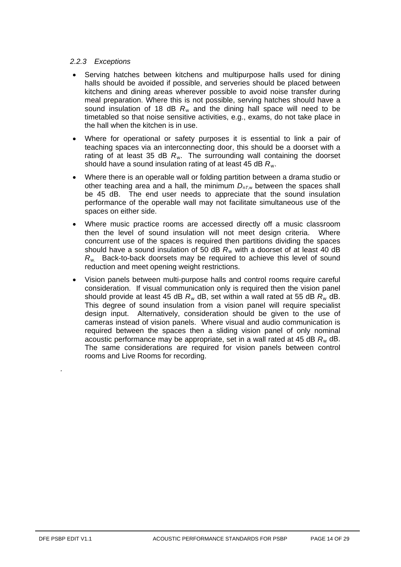# *2.2.3 Exceptions*

- Serving hatches between kitchens and multipurpose halls used for dining halls should be avoided if possible, and serveries should be placed between kitchens and dining areas wherever possible to avoid noise transfer during meal preparation. Where this is not possible, serving hatches should have a sound insulation of 18 dB  $R_{w}$  and the dining hall space will need to be timetabled so that noise sensitive activities, e.g., exams, do not take place in the hall when the kitchen is in use.
- Where for operational or safety purposes it is essential to link a pair of teaching spaces via an interconnecting door, this should be a doorset with a rating of at least 35 dB R<sub>w</sub>. The surrounding wall containing the doorset should ha*v*e a sound insulation rating of at least 45 dB *R*<sup>w</sup> .
- Where there is an operable wall or folding partition between a drama studio or other teaching area and a hall, the minimum *D* n*T*,w between the spaces shall be 45 dB. The end user needs to appreciate that the sound insulation performance of the operable wall may not facilitate simultaneous use of the spaces on either side.
- Where music practice rooms are accessed directly off a music classroom then the level of sound insulation will not meet design criteria. Where concurrent use of the spaces is required then partitions dividing the spaces should have a sound insulation of 50 dB *R* <sup>w</sup> with a doorset of at least 40 dB *R*w. Back-to-back doorsets may be required to achieve this level of sound reduction and meet opening weight restrictions.
- Vision panels between multi-purpose halls and control rooms require careful consideration. If visual communication only is required then the vision panel should provide at least 45 dB *R* <sup>w</sup> dB, set within a wall rated at 55 dB *R*<sup>w</sup> dB. This degree of sound insulation from a vision panel will require specialist design input. Alternatively, consideration should be given to the use of cameras instead of vision panels. Where visual and audio communication is required between the spaces then a sliding vision panel of only nominal acoustic performance may be appropriate, set in a wall rated at 45 dB *R*<sup>w</sup> dB. The same considerations are required for vision panels between control rooms and Live Rooms for recording.

*.*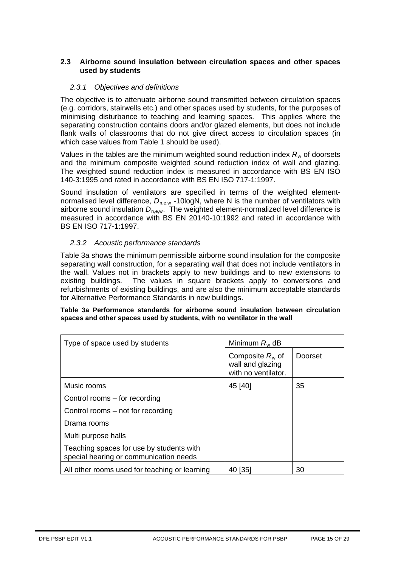# <span id="page-14-0"></span>**2.3 Airborne sound insulation between circulation spaces and other spaces used by students**

# *2.3.1 Objectives and definitions*

The objective is to attenuate airborne sound transmitted between circulation spaces (e.g. corridors, stairwells etc.) and other spaces used by students, for the purposes of minimising disturbance to teaching and learning spaces. This applies where the separating construction contains doors and/or glazed elements, but does not include flank walls of classrooms that do not give direct access to circulation spaces (in which case values from Table 1 should be used).

Values in the tables are the minimum weighted sound reduction index R<sub>w</sub> of doorsets and the minimum composite weighted sound reduction index of wall and glazing. The weighted sound reduction index is measured in accordance with BS EN ISO 140-3:1995 and rated in accordance with BS EN ISO 717-1:1997.

Sound insulation of ventilators are specified in terms of the weighted elementnormalised level difference,  $D_{n,e,w}$  -10logN, where N is the number of ventilators with airborne sound insulation  $D_{n,e,w}$ . The weighted element-normalized level difference is measured in accordance with BS EN 20140-10:1992 and rated in accordance with BS EN ISO 717-1:1997.

# *2.3.2 Acoustic performance standards*

Table 3a shows the minimum permissible airborne sound insulation for the composite separating wall construction, for a separating wall that does not include ventilators in the wall. Values not in brackets apply to new buildings and to new extensions to existing buildings. The values in square brackets apply to conversions and refurbishments of existing buildings, and are also the minimum acceptable standards for Alternative Performance Standards in new buildings.

#### **Table 3a Performance standards for airborne sound insulation between circulation spaces and other spaces used by students, with no ventilator in the wall**

| Type of space used by students                                                     | Minimum $R_w$ dB                                              |         |  |
|------------------------------------------------------------------------------------|---------------------------------------------------------------|---------|--|
|                                                                                    | Composite $R_w$ of<br>wall and glazing<br>with no ventilator. | Doorset |  |
| Music rooms                                                                        | 45 [40]                                                       | 35      |  |
| Control rooms – for recording                                                      |                                                               |         |  |
| Control rooms – not for recording                                                  |                                                               |         |  |
| Drama rooms                                                                        |                                                               |         |  |
| Multi purpose halls                                                                |                                                               |         |  |
| Teaching spaces for use by students with<br>special hearing or communication needs |                                                               |         |  |
| All other rooms used for teaching or learning                                      | 40 [35]                                                       | 30      |  |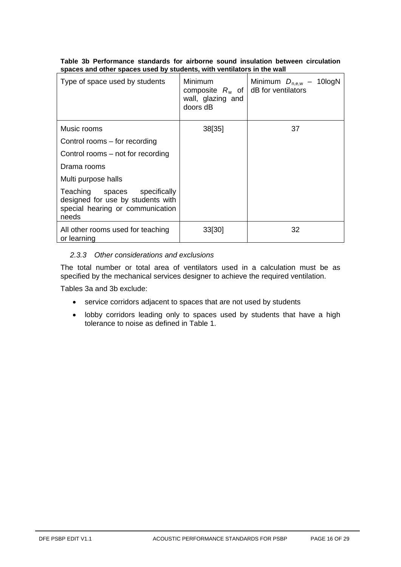|  |  |  |  |                                                                        | Table 3b Performance standards for airborne sound insulation between circulation |
|--|--|--|--|------------------------------------------------------------------------|----------------------------------------------------------------------------------|
|  |  |  |  | spaces and other spaces used by students, with ventilators in the wall |                                                                                  |

| Type of space used by students                                                                                 | Minimum<br>composite $R_w$ of<br>wall, glazing and<br>doors dB | Minimum $D_{n,\text{ew}}$ – 10logN<br>dB for ventilators |
|----------------------------------------------------------------------------------------------------------------|----------------------------------------------------------------|----------------------------------------------------------|
| Music rooms                                                                                                    | 38[35]                                                         | 37                                                       |
| Control rooms – for recording                                                                                  |                                                                |                                                          |
| Control rooms – not for recording                                                                              |                                                                |                                                          |
| Drama rooms                                                                                                    |                                                                |                                                          |
| Multi purpose halls                                                                                            |                                                                |                                                          |
| Teaching spaces specifically<br>designed for use by students with<br>special hearing or communication<br>needs |                                                                |                                                          |
| All other rooms used for teaching<br>or learning                                                               | 33 30                                                          | 32                                                       |

# *2.3.3 Other considerations and exclusions*

The total number or total area of ventilators used in a calculation must be as specified by the mechanical services designer to achieve the required ventilation.

Tables 3a and 3b exclude:

- service corridors adjacent to spaces that are not used by students
- lobby corridors leading only to spaces used by students that have a high tolerance to noise as defined in Table 1.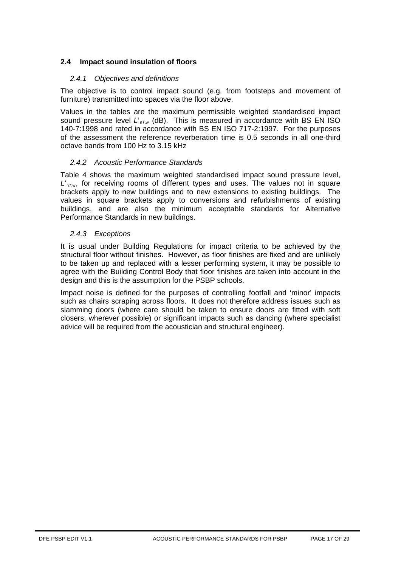# <span id="page-16-0"></span>**2.4 Impact sound insulation of floors**

# *2.4.1 Objectives and definitions*

The objective is to control impact sound (e.g. from footsteps and movement of furniture) transmitted into spaces via the floor above.

Values in the tables are the maximum permissible weighted standardised impact sound pressure level *L*'n*T*,w (dB). This is measured in accordance with BS EN ISO 140-7:1998 and rated in accordance with BS EN ISO 717-2:1997. For the purposes of the assessment the reference reverberation time is 0.5 seconds in all one-third octave bands from 100 Hz to 3.15 kHz

#### *2.4.2 Acoustic Performance Standards*

Table 4 shows the maximum weighted standardised impact sound pressure level, L'<sub>nT,w</sub>, for receiving rooms of different types and uses. The values not in square brackets apply to new buildings and to new extensions to existing buildings. The values in square brackets apply to conversions and refurbishments of existing buildings, and are also the minimum acceptable standards for Alternative Performance Standards in new buildings.

#### *2.4.3 Exceptions*

It is usual under Building Regulations for impact criteria to be achieved by the structural floor without finishes. However, as floor finishes are fixed and are unlikely to be taken up and replaced with a lesser performing system, it may be possible to agree with the Building Control Body that floor finishes are taken into account in the design and this is the assumption for the PSBP schools.

Impact noise is defined for the purposes of controlling footfall and 'minor' impacts such as chairs scraping across floors. It does not therefore address issues such as slamming doors (where care should be taken to ensure doors are fitted with soft closers, wherever possible) or significant impacts such as dancing (where specialist advice will be required from the acoustician and structural engineer).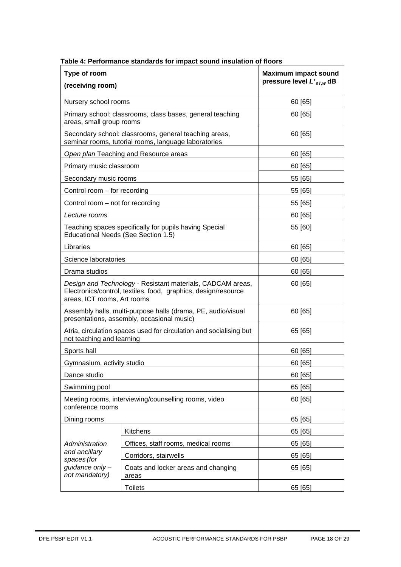| Type of room<br>(receiving room)                                                                                                                            | <b>Maximum impact sound</b><br>pressure level $L'_{nL}$ dB                                                    |         |  |
|-------------------------------------------------------------------------------------------------------------------------------------------------------------|---------------------------------------------------------------------------------------------------------------|---------|--|
| Nursery school rooms                                                                                                                                        |                                                                                                               | 60 [65] |  |
| Primary school: classrooms, class bases, general teaching<br>areas, small group rooms                                                                       | 60 [65]                                                                                                       |         |  |
|                                                                                                                                                             | Secondary school: classrooms, general teaching areas,<br>seminar rooms, tutorial rooms, language laboratories | 60 [65] |  |
| Open plan Teaching and Resource areas                                                                                                                       | 60 [65]                                                                                                       |         |  |
| Primary music classroom                                                                                                                                     |                                                                                                               | 60 [65] |  |
| Secondary music rooms                                                                                                                                       |                                                                                                               | 55 [65] |  |
| Control room - for recording                                                                                                                                |                                                                                                               | 55 [65] |  |
| Control room – not for recording                                                                                                                            |                                                                                                               | 55 [65] |  |
| Lecture rooms                                                                                                                                               |                                                                                                               | 60 [65] |  |
| Educational Needs (See Section 1.5)                                                                                                                         | Teaching spaces specifically for pupils having Special                                                        | 55 [60] |  |
| Libraries                                                                                                                                                   |                                                                                                               | 60 [65] |  |
| Science laboratories                                                                                                                                        |                                                                                                               | 60 [65] |  |
| Drama studios                                                                                                                                               |                                                                                                               | 60 [65] |  |
| Design and Technology - Resistant materials, CADCAM areas,<br>Electronics/control, textiles, food, graphics, design/resource<br>areas, ICT rooms, Art rooms |                                                                                                               | 60 [65] |  |
|                                                                                                                                                             | Assembly halls, multi-purpose halls (drama, PE, audio/visual<br>presentations, assembly, occasional music)    | 60 [65] |  |
| not teaching and learning                                                                                                                                   | Atria, circulation spaces used for circulation and socialising but                                            | 65 [65] |  |
| Sports hall                                                                                                                                                 |                                                                                                               | 60 [65] |  |
| Gymnasium, activity studio                                                                                                                                  |                                                                                                               | 60 [65] |  |
| Dance studio                                                                                                                                                |                                                                                                               | 60 [65] |  |
| Swimming pool                                                                                                                                               |                                                                                                               | 65 [65] |  |
| conference rooms                                                                                                                                            | Meeting rooms, interviewing/counselling rooms, video                                                          | 60 [65] |  |
| Dining rooms                                                                                                                                                |                                                                                                               | 65 [65] |  |
|                                                                                                                                                             | Kitchens                                                                                                      | 65 [65] |  |
| Administration                                                                                                                                              | Offices, staff rooms, medical rooms                                                                           | 65 [65] |  |
| and ancillary<br>spaces (for                                                                                                                                | Corridors, stairwells                                                                                         | 65 [65] |  |
| guidance only -<br>not mandatory)                                                                                                                           | Coats and locker areas and changing<br>areas                                                                  | 65 [65] |  |
|                                                                                                                                                             | <b>Toilets</b>                                                                                                | 65 [65] |  |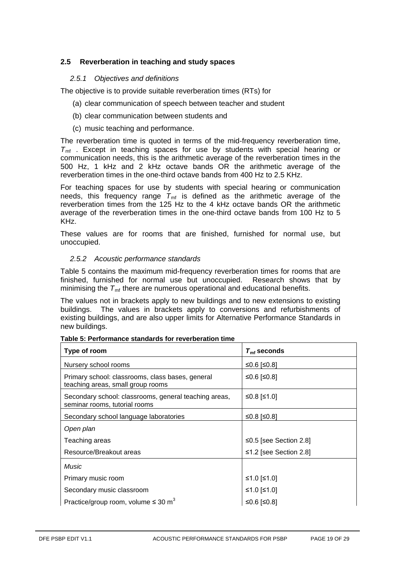# <span id="page-18-0"></span>**2.5 Reverberation in teaching and study spaces**

### *2.5.1 Objectives and definitions*

The objective is to provide suitable reverberation times (RTs) for

- (a) clear communication of speech between teacher and student
- (b) clear communication between students and
- (c) music teaching and performance.

The reverberation time is quoted in terms of the mid-frequency reverberation time,  $T_{\text{mf}}$ . Except in teaching spaces for use by students with special hearing or communication needs, this is the arithmetic average of the reverberation times in the 500 Hz, 1 kHz and 2 kHz octave bands OR the arithmetic average of the reverberation times in the one-third octave bands from 400 Hz to 2.5 KHz.

For teaching spaces for use by students with special hearing or communication needs, this frequency range  $\mathcal{T}_{\text{mf}}$  is defined as the arithmetic average of the reverberation times from the 125 Hz to the 4 kHz octave bands OR the arithmetic average of the reverberation times in the one-third octave bands from 100 Hz to 5 KHz.

These values are for rooms that are finished, furnished for normal use, but unoccupied.

#### *2.5.2 Acoustic performance standards*

Table 5 contains the maximum mid-frequency reverberation times for rooms that are finished, furnished for normal use but unoccupied. Research shows that by minimising the  $\mathcal{T}_{\mathsf{m}\mathsf{f}}$  there are numerous operational and educational benefits.

The values not in brackets apply to new buildings and to new extensions to existing buildings. The values in brackets apply to conversions and refurbishments of existing buildings, and are also upper limits for Alternative Performance Standards in new buildings.

| Type of room                                                                           | $T_{\rm mf}$ seconds   |
|----------------------------------------------------------------------------------------|------------------------|
| Nursery school rooms                                                                   | ≤0.6 [≤0.8]            |
| Primary school: classrooms, class bases, general<br>teaching areas, small group rooms  | ≤0.6 [≤0.8]            |
| Secondary school: classrooms, general teaching areas,<br>seminar rooms, tutorial rooms | ≤0.8 [≤1.0]            |
| Secondary school language laboratories                                                 | ≤0.8 [≤0.8]            |
| Open plan                                                                              |                        |
| Teaching areas                                                                         | ≤0.5 [see Section 2.8] |
| Resource/Breakout areas                                                                | ≤1.2 [see Section 2.8] |
| Music                                                                                  |                        |
| Primary music room                                                                     | ≤1.0 [≤1.0]            |
| Secondary music classroom                                                              | ≤1.0 [≤1.0]            |
| Practice/group room, volume $\leq 30 \text{ m}^3$                                      | ≤0.6 [≤0.8]            |

| Table 5: Performance standards for reverberation time |  |
|-------------------------------------------------------|--|
|-------------------------------------------------------|--|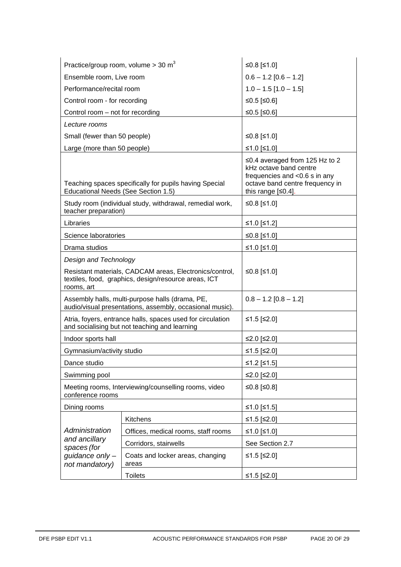| Practice/group room, volume $>$ 30 m <sup>3</sup> |                                                                                                                 | ≤0.8 [≤1.0]                                                                                                                                           |  |  |  |
|---------------------------------------------------|-----------------------------------------------------------------------------------------------------------------|-------------------------------------------------------------------------------------------------------------------------------------------------------|--|--|--|
| Ensemble room, Live room                          |                                                                                                                 | $0.6 - 1.2 [0.6 - 1.2]$                                                                                                                               |  |  |  |
| Performance/recital room                          |                                                                                                                 | $1.0 - 1.5$ [1.0 - 1.5]                                                                                                                               |  |  |  |
| Control room - for recording                      |                                                                                                                 | ≤0.5 [≤0.6]                                                                                                                                           |  |  |  |
| Control room – not for recording                  |                                                                                                                 | ≤0.5 [≤0.6]                                                                                                                                           |  |  |  |
| Lecture rooms                                     |                                                                                                                 |                                                                                                                                                       |  |  |  |
| Small (fewer than 50 people)                      |                                                                                                                 | ≤0.8 [≤1.0]                                                                                                                                           |  |  |  |
| Large (more than 50 people)                       |                                                                                                                 | ≤1.0 [≤1.0]                                                                                                                                           |  |  |  |
| Educational Needs (See Section 1.5)               | Teaching spaces specifically for pupils having Special                                                          | ≤0.4 averaged from 125 Hz to 2<br>kHz octave band centre<br>frequencies and <0.6 s in any<br>octave band centre frequency in<br>this range $[50.4]$ . |  |  |  |
| teacher preparation)                              | Study room (individual study, withdrawal, remedial work,                                                        | ≤0.8 [≤1.0]                                                                                                                                           |  |  |  |
| Libraries                                         |                                                                                                                 | ≤1.0 [≤1.2]                                                                                                                                           |  |  |  |
| Science laboratories                              |                                                                                                                 | ≤0.8 [≤1.0]                                                                                                                                           |  |  |  |
| Drama studios                                     |                                                                                                                 | ≤1.0 [≤1.0]                                                                                                                                           |  |  |  |
| Design and Technology                             |                                                                                                                 |                                                                                                                                                       |  |  |  |
| rooms, art                                        | Resistant materials, CADCAM areas, Electronics/control,<br>textiles, food, graphics, design/resource areas, ICT | ≤0.8 [≤1.0]                                                                                                                                           |  |  |  |
|                                                   | Assembly halls, multi-purpose halls (drama, PE,<br>audio/visual presentations, assembly, occasional music).     | $0.8 - 1.2$ [0.8 - 1.2]                                                                                                                               |  |  |  |
|                                                   | Atria, foyers, entrance halls, spaces used for circulation<br>and socialising but not teaching and learning     | ≤1.5 [≤2.0]                                                                                                                                           |  |  |  |
| Indoor sports hall                                |                                                                                                                 | ≤2.0 [≤2.0]                                                                                                                                           |  |  |  |
| Gymnasium/activity studio                         |                                                                                                                 | ≤1.5 [≤2.0]                                                                                                                                           |  |  |  |
| Dance studio                                      |                                                                                                                 | ≤1.2 [≤1.5]                                                                                                                                           |  |  |  |
| Swimming pool                                     |                                                                                                                 | ≤2.0 [≤2.0]                                                                                                                                           |  |  |  |
| conference rooms                                  | Meeting rooms, Interviewing/counselling rooms, video                                                            | ≤0.8 [≤0.8]                                                                                                                                           |  |  |  |
| Dining rooms                                      |                                                                                                                 | ≤1.0 [≤1.5]                                                                                                                                           |  |  |  |
| Administration<br>and ancillary<br>spaces (for    | Kitchens                                                                                                        | ≤1.5 [≤2.0]                                                                                                                                           |  |  |  |
|                                                   | Offices, medical rooms, staff rooms                                                                             | ≤1.0 [≤1.0]                                                                                                                                           |  |  |  |
|                                                   | Corridors, stairwells                                                                                           | See Section 2.7                                                                                                                                       |  |  |  |
| guidance only -<br>not mandatory)                 | Coats and locker areas, changing<br>areas                                                                       | ≤1.5 [≤2.0]                                                                                                                                           |  |  |  |
|                                                   | <b>Toilets</b>                                                                                                  | ≤1.5 [≤2.0]                                                                                                                                           |  |  |  |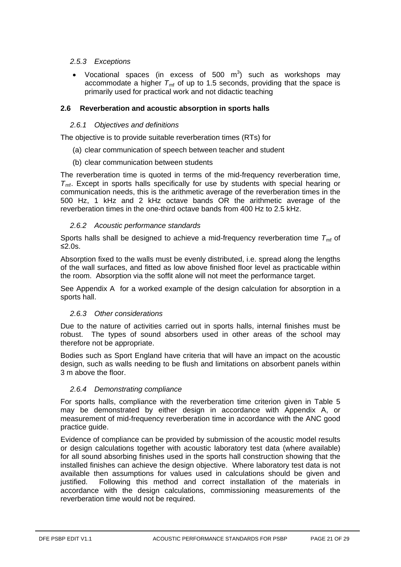# *2.5.3 Exceptions*

• Vocational spaces (in excess of 500  $m^3$ ) such as workshops may accommodate a higher  $T_{\text{mf}}$  of up to 1.5 seconds, providing that the space is primarily used for practical work and not didactic teaching

# <span id="page-20-0"></span>**2.6 Reverberation and acoustic absorption in sports halls**

# *2.6.1 Objectives and definitions*

The objective is to provide suitable reverberation times (RTs) for

- (a) clear communication of speech between teacher and student
- (b) clear communication between students

The reverberation time is quoted in terms of the mid-frequency reverberation time,  $T<sub>mf</sub>$ . Except in sports halls specifically for use by students with special hearing or communication needs, this is the arithmetic average of the reverberation times in the 500 Hz, 1 kHz and 2 kHz octave bands OR the arithmetic average of the reverberation times in the one-third octave bands from 400 Hz to 2.5 kHz.

# *2.6.2 Acoustic performance standards*

Sports halls shall be designed to achieve a mid-frequency reverberation time T<sub>mf</sub> of ≤2.0s.

Absorption fixed to the walls must be evenly distributed, i.e. spread along the lengths of the wall surfaces, and fitted as low above finished floor level as practicable within the room. Absorption via the soffit alone will not meet the performance target.

See Appendix A for a worked example of the design calculation for absorption in a sports hall.

# *2.6.3 Other considerations*

Due to the nature of activities carried out in sports halls, internal finishes must be robust. The types of sound absorbers used in other areas of the school may therefore not be appropriate.

Bodies such as Sport England have criteria that will have an impact on the acoustic design, such as walls needing to be flush and limitations on absorbent panels within 3 m above the floor.

# *2.6.4 Demonstrating compliance*

For sports halls, compliance with the reverberation time criterion given in Table 5 may be demonstrated by either design in accordance with Appendix A, or measurement of mid-frequency reverberation time in accordance with the ANC good practice guide.

Evidence of compliance can be provided by submission of the acoustic model results or design calculations together with acoustic laboratory test data (where available) for all sound absorbing finishes used in the sports hall construction showing that the installed finishes can achieve the design objective. Where laboratory test data is not available then assumptions for values used in calculations should be given and justified. Following this method and correct installation of the materials in accordance with the design calculations, commissioning measurements of the reverberation time would not be required.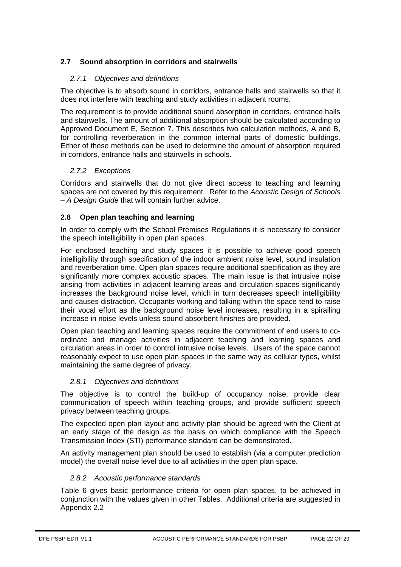# <span id="page-21-0"></span>**2.7 Sound absorption in corridors and stairwells**

# *2.7.1 Objectives and definitions*

The objective is to absorb sound in corridors, entrance halls and stairwells so that it does not interfere with teaching and study activities in adjacent rooms.

The requirement is to provide additional sound absorption in corridors, entrance halls and stairwells. The amount of additional absorption should be calculated according to Approved Document E, Section 7. This describes two calculation methods, A and B, for controlling reverberation in the common internal parts of domestic buildings. Either of these methods can be used to determine the amount of absorption required in corridors, entrance halls and stairwells in schools.

# *2.7.2 Exceptions*

Corridors and stairwells that do not give direct access to teaching and learning spaces are not covered by this requirement. Refer to the *Acoustic Design of Schools – A Design Guide* that will contain further advice.

# <span id="page-21-1"></span>**2.8 Open plan teaching and learning**

In order to comply with the School Premises Regulations it is necessary to consider the speech intelligibility in open plan spaces.

For enclosed teaching and study spaces it is possible to achieve good speech intelligibility through specification of the indoor ambient noise level, sound insulation and reverberation time. Open plan spaces require additional specification as they are significantly more complex acoustic spaces. The main issue is that intrusive noise arising from activities in adjacent learning areas and circulation spaces significantly increases the background noise level, which in turn decreases speech intelligibility and causes distraction. Occupants working and talking within the space tend to raise their vocal effort as the background noise level increases, resulting in a spiralling increase in noise levels unless sound absorbent finishes are provided.

Open plan teaching and learning spaces require the commitment of end users to coordinate and manage activities in adjacent teaching and learning spaces and circulation areas in order to control intrusive noise levels. Users of the space cannot reasonably expect to use open plan spaces in the same way as cellular types, whilst maintaining the same degree of privacy.

# *2.8.1 Objectives and definitions*

The objective is to control the build-up of occupancy noise, provide clear communication of speech within teaching groups, and provide sufficient speech privacy between teaching groups.

The expected open plan layout and activity plan should be agreed with the Client at an early stage of the design as the basis on which compliance with the Speech Transmission Index (STI) performance standard can be demonstrated.

An activity management plan should be used to establish (via a computer prediction model) the overall noise level due to all activities in the open plan space.

# *2.8.2 Acoustic performance standards*

Table 6 gives basic performance criteria for open plan spaces, to be achieved in conjunction with the values given in other Tables. Additional criteria are suggested in Appendix 2.2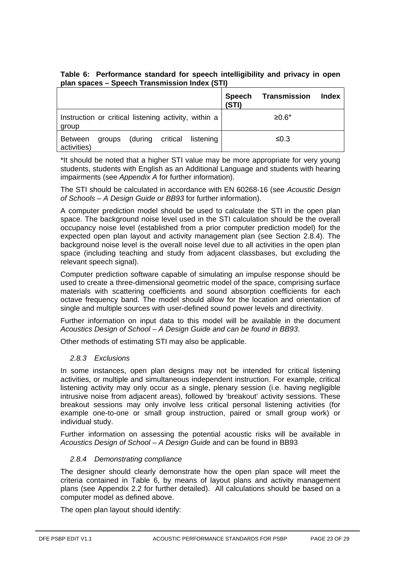| Table 6: Performance standard for speech intelligibility and privacy in open |  |  |  |  |
|------------------------------------------------------------------------------|--|--|--|--|
| plan spaces – Speech Transmission Index (STI)                                |  |  |  |  |

|                                                               |                         |           | Speech<br>(STI) | Transmission | Index |
|---------------------------------------------------------------|-------------------------|-----------|-----------------|--------------|-------|
| Instruction or critical listening activity, within a<br>group |                         |           |                 | $≥0.6*$      |       |
| Between<br>activities)                                        | groups (during critical | listening |                 | ≤0.3         |       |

\*It should be noted that a higher STI value may be more appropriate for very young students, students with English as an Additional Language and students with hearing impairments (see *Appendix A* for further information).

The STI should be calculated in accordance with EN 60268-16 (see *Acoustic Design of Schools – A Design Guide or BB93* for further information).

A computer prediction model should be used to calculate the STI in the open plan expected open plan layout and activity management plan (see Section 2.8.4). The space. The background noise level used in the STI calculation should be the overall occupancy noise level (established from a prior computer prediction model) for the background noise level is the overall noise level due to all activities in the open plan space (including teaching and study from adjacent classbases, but excluding the relevant speech signal).

Computer prediction software capable of simulating an impulse response should be used to create a three-dimensional geometric model of the space, comprising surface materials with scattering coefficients and sound absorption coefficients for each octave frequency band. The model should allow for the location and orientation of single and multiple sources with user-defined sound power levels and directivity.

Further information on input data to this model will be available in the document *Acoustics Design of School – A Design Guide and can be found in BB93*.

Other methods of estimating STI may also be applicable.

# *2.8.3 Exclusions*

In some instances, open plan designs may not be intended for critical listening activities, or multiple and simultaneous independent instruction. For example, critical listening activity may only occur as a single, plenary session (i.e. having negligible intrusive noise from adjacent areas), followed by 'breakout' activity sessions. These breakout sessions may only involve less critical personal listening activities (for example one-to-one or small group instruction, paired or small group work) or individual study.

Further information on assessing the potential acoustic risks will be available in *Acoustics Design of School – A Design Guide* and can be found in BB93

# <span id="page-22-0"></span>*2.8.4 Demonstrating compliance*

The designer should clearly demonstrate how the open plan space will meet the criteria contained in Table 6, by means of layout plans and activity management plans (see Appendix 2.2 for further detailed). All calculations should be based on a computer model as defined above.

The open plan layout should identify: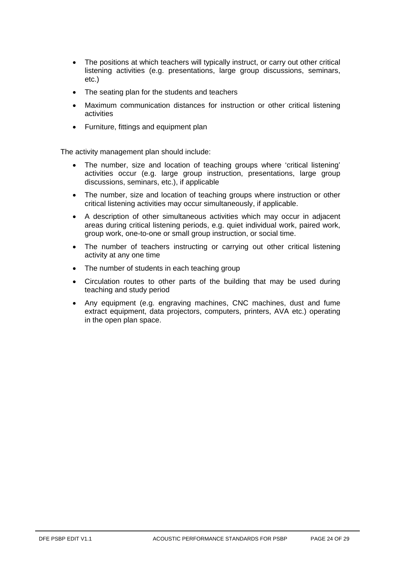- The positions at which teachers will typically instruct, or carry out other critical listening activities (e.g. presentations, large group discussions, seminars, etc.)
- The seating plan for the students and teachers
- Maximum communication distances for instruction or other critical listening activities
- Furniture, fittings and equipment plan

The activity management plan should include:

- The number, size and location of teaching groups where 'critical listening' activities occur (e.g. large group instruction, presentations, large group discussions, seminars, etc.), if applicable
- The number, size and location of teaching groups where instruction or other critical listening activities may occur simultaneously, if applicable.
- A description of other simultaneous activities which may occur in adjacent areas during critical listening periods, e.g. quiet individual work, paired work, group work, one-to-one or small group instruction, or social time.
- The number of teachers instructing or carrying out other critical listening activity at any one time
- The number of students in each teaching group
- Circulation routes to other parts of the building that may be used during teaching and study period
- Any equipment (e.g. engraving machines, CNC machines, dust and fume extract equipment, data projectors, computers, printers, AVA etc.) operating in the open plan space.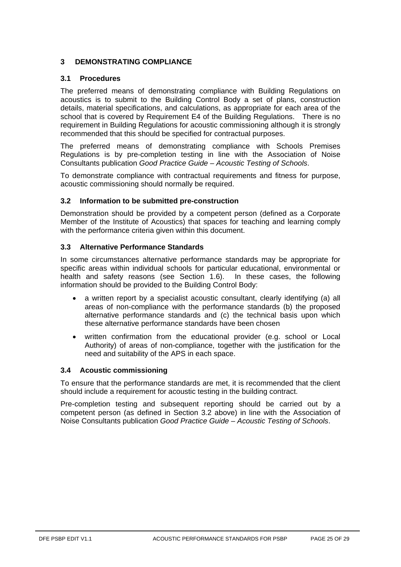# <span id="page-24-1"></span><span id="page-24-0"></span>**3 DEMONSTRATING COMPLIANCE**

# **3.1 Procedures**

The preferred means of demonstrating compliance with Building Regulations on acoustics is to submit to the Building Control Body a set of plans, construction details, material specifications, and calculations, as appropriate for each area of the school that is covered by Requirement E4 of the Building Regulations. There is no requirement in Building Regulations for acoustic commissioning although it is strongly recommended that this should be specified for contractual purposes.

The preferred means of demonstrating compliance with Schools Premises Regulations is by pre-completion testing in line with the Association of Noise Consultants publication *Good Practice Guide – Acoustic Testing of Schools*.

To demonstrate compliance with contractual requirements and fitness for purpose, acoustic commissioning should normally be required.

#### <span id="page-24-2"></span>**3.2 Information to be submitted pre-construction**

Demonstration should be provided by a competent person (defined as a Corporate Member of the Institute of Acoustics) that spaces for teaching and learning comply with the performance criteria given within this document.

#### <span id="page-24-3"></span>**3.3 Alternative Performance Standards**

In some circumstances alternative performance standards may be appropriate for specific areas within individual schools for particular educational, environmental or health and safety reasons (see Section [1.6\)](#page-6-0). In these cases, the following information should be provided to the Building Control Body:

- a written report by a specialist acoustic consultant, clearly identifying (a) all areas of non-compliance with the performance standards (b) the proposed alternative performance standards and (c) the technical basis upon which these alternative performance standards have been chosen
- written confirmation from the educational provider (e.g. school or Local Authority) of areas of non-compliance, together with the justification for the need and suitability of the APS in each space.

#### <span id="page-24-4"></span>**3.4 Acoustic commissioning**

To ensure that the performance standards are met, it is recommended that the client should include a requirement for acoustic testing in the building contract.

Pre-completion testing and subsequent reporting should be carried out by a competent person (as defined in Section [3.2](#page-24-2) above) in line with the Association of Noise Consultants publication *Good Practice Guide – Acoustic Testing of Schools*.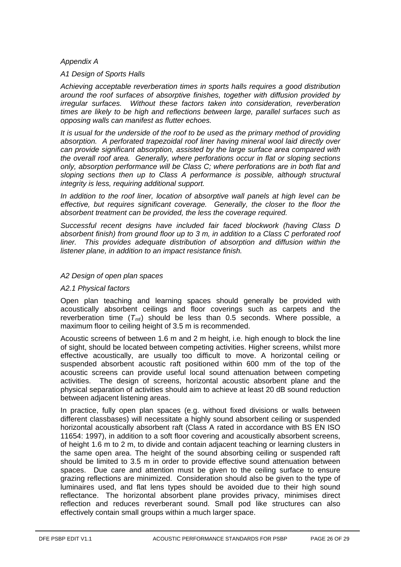### *Appendix A*

#### *A1 Design of Sports Halls*

*Achieving acceptable reverberation times in sports halls requires a good distribution around the roof surfaces of absorptive finishes, together with diffusion provided by irregular surfaces. Without these factors taken into consideration, reverberation times are likely to be high and reflections between large, parallel surfaces such as opposing walls can manifest as flutter echoes.*

*It is usual for the underside of the roof to be used as the primary method of providing absorption. A perforated trapezoidal roof liner having mineral wool laid directly over can provide significant absorption, assisted by the large surface area compared with the overall roof area. Generally, where perforations occur in flat or sloping sections only, absorption performance will be Class C; where perforations are in both flat and sloping sections then up to Class A performance is possible, although structural integrity is less, requiring additional support.*

*In addition to the roof liner, location of absorptive wall panels at high level can be effective, but requires significant coverage. Generally, the closer to the floor the absorbent treatment can be provided, the less the coverage required.*

*Successful recent designs have included fair faced blockwork (having Class D absorbent finish) from ground floor up to 3 m, in addition to a Class C perforated roof liner. This provides adequate distribution of absorption and diffusion within the listener plane, in addition to an impact resistance finish.*

#### *A2 Design of open plan spaces*

#### *A2.1 Physical factors*

Open plan teaching and learning spaces should generally be provided with acoustically absorbent ceilings and floor coverings such as carpets and the reverberation time  $(T_{\text{mf}})$  should be less than 0.5 seconds. Where possible, a maximum floor to ceiling height of 3.5 m is recommended.

Acoustic screens of between 1.6 m and 2 m height, i.e. high enough to block the line of sight, should be located between competing activities. Higher screens, whilst more effective acoustically, are usually too difficult to move. A horizontal ceiling or suspended absorbent acoustic raft positioned within 600 mm of the top of the acoustic screens can provide useful local sound attenuation between competing activities. The design of screens, horizontal acoustic absorbent plane and the physical separation of activities should aim to achieve at least 20 dB sound reduction between adjacent listening areas.

In practice, fully open plan spaces (e.g. without fixed divisions or walls between different classbases) will necessitate a highly sound absorbent ceiling or suspended horizontal acoustically absorbent raft (Class A rated in accordance with BS EN ISO 11654: 1997), in addition to a soft floor covering and acoustically absorbent screens, of height 1.6 m to 2 m, to divide and contain adjacent teaching or learning clusters in the same open area. The height of the sound absorbing ceiling or suspended raft should be limited to 3.5 m in order to provide effective sound attenuation between spaces. Due care and attention must be given to the ceiling surface to ensure grazing reflections are minimized. Consideration should also be given to the type of luminaires used, and flat lens types should be avoided due to their high sound reflectance. The horizontal absorbent plane provides privacy, minimises direct reflection and reduces reverberant sound. Small pod like structures can also effectively contain small groups within a much larger space.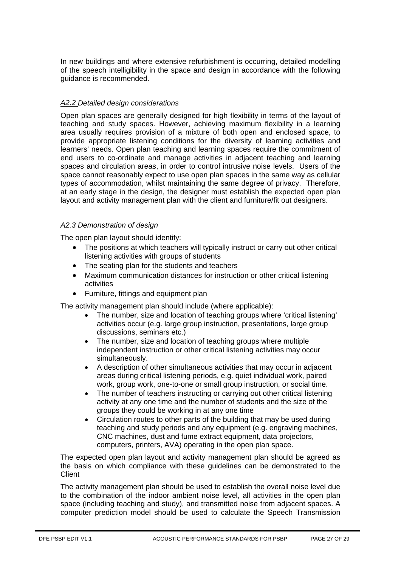In new buildings and where extensive refurbishment is occurring, detailed modelling of the speech intelligibility in the space and design in accordance with the following guidance is recommended.

# *A2.2 Detailed design considerations*

Open plan spaces are generally designed for high flexibility in terms of the layout of teaching and study spaces. However, achieving maximum flexibility in a learning area usually requires provision of a mixture of both open and enclosed space, to provide appropriate listening conditions for the diversity of learning activities and learners' needs. Open plan teaching and learning spaces require the commitment of end users to co-ordinate and manage activities in adjacent teaching and learning spaces and circulation areas, in order to control intrusive noise levels. Users of the space cannot reasonably expect to use open plan spaces in the same way as cellular types of accommodation, whilst maintaining the same degree of privacy. Therefore, at an early stage in the design, the designer must establish the expected open plan layout and activity management plan with the client and furniture/fit out designers.

# *A2.3 Demonstration of design*

The open plan layout should identify:

- The positions at which teachers will typically instruct or carry out other critical listening activities with groups of students
- The seating plan for the students and teachers
- Maximum communication distances for instruction or other critical listening activities
- Furniture, fittings and equipment plan

The activity management plan should include (where applicable):

- The number, size and location of teaching groups where 'critical listening' activities occur (e.g. large group instruction, presentations, large group discussions, seminars etc.)
- The number, size and location of teaching groups where multiple independent instruction or other critical listening activities may occur simultaneously.
- A description of other simultaneous activities that may occur in adjacent areas during critical listening periods, e.g. quiet individual work, paired work, group work, one-to-one or small group instruction, or social time.
- The number of teachers instructing or carrying out other critical listening activity at any one time and the number of students and the size of the groups they could be working in at any one time
- Circulation routes to other parts of the building that may be used during teaching and study periods and any equipment (e.g. engraving machines, CNC machines, dust and fume extract equipment, data projectors, computers, printers, AVA) operating in the open plan space.

The expected open plan layout and activity management plan should be agreed as the basis on which compliance with these guidelines can be demonstrated to the **Client** 

The activity management plan should be used to establish the overall noise level due to the combination of the indoor ambient noise level, all activities in the open plan space (including teaching and study), and transmitted noise from adjacent spaces. A computer prediction model should be used to calculate the Speech Transmission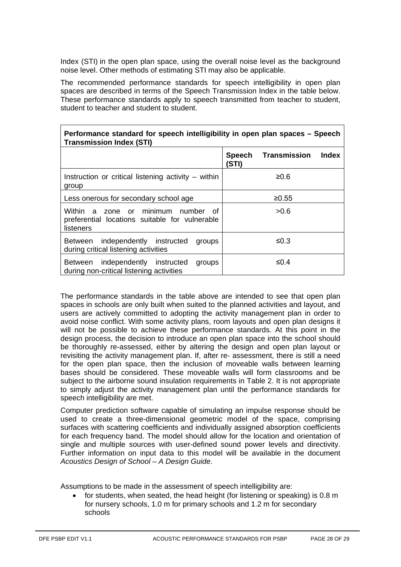Index (STI) in the open plan space, using the overall noise level as the background noise level. Other methods of estimating STI may also be applicable.

The recommended performance standards for speech intelligibility in open plan spaces are described in terms of the Speech Transmission Index in the table below. These performance standards apply to speech transmitted from teacher to student, student to teacher and student to student.

| Performance standard for speech intelligibility in open plan spaces – Speech<br><b>Transmission Index (STI)</b> |       |                     |       |  |  |  |  |  |
|-----------------------------------------------------------------------------------------------------------------|-------|---------------------|-------|--|--|--|--|--|
|                                                                                                                 | (STI) | Speech Transmission | Index |  |  |  |  |  |
| Instruction or critical listening activity $-$ within<br>group                                                  |       | 20.6                |       |  |  |  |  |  |
| Less onerous for secondary school age                                                                           | ≥0.55 |                     |       |  |  |  |  |  |
| Within a zone or minimum number of<br>preferential locations suitable for vulnerable<br>listeners               |       | >0.6                |       |  |  |  |  |  |
| Between independently instructed<br>groups<br>during critical listening activities                              |       | ≤0.3                |       |  |  |  |  |  |
| Between independently instructed<br>groups<br>during non-critical listening activities                          |       | ≤ $0.4$             |       |  |  |  |  |  |

The performance standards in the table above are intended to see that open plan spaces in schools are only built when suited to the planned activities and layout, and users are actively committed to adopting the activity management plan in order to avoid noise conflict. With some activity plans, room layouts and open plan designs it will not be possible to achieve these performance standards. At this point in the design process, the decision to introduce an open plan space into the school should be thoroughly re-assessed, either by altering the design and open plan layout or revisiting the activity management plan. If, after re- assessment, there is still a need for the open plan space, then the inclusion of moveable walls between learning bases should be considered. These moveable walls will form classrooms and be subject to the airborne sound insulation requirements in Table 2. It is not appropriate to simply adjust the activity management plan until the performance standards for speech intelligibility are met.

Computer prediction software capable of simulating an impulse response should be used to create a three-dimensional geometric model of the space, comprising surfaces with scattering coefficients and individually assigned absorption coefficients for each frequency band. The model should allow for the location and orientation of single and multiple sources with user-defined sound power levels and directivity. Further information on input data to this model will be available in the document *Acoustics Design of School – A Design Guide*.

Assumptions to be made in the assessment of speech intelligibility are:

• for students, when seated, the head height (for listening or speaking) is 0.8 m for nursery schools, 1.0 m for primary schools and 1.2 m for secondary schools